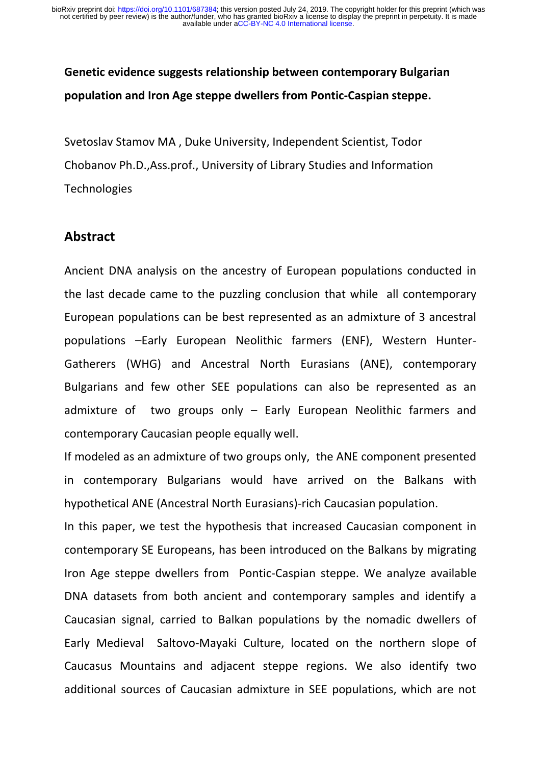# **Genetic evidence suggests relationship between contemporary Bulgarian population and Iron Age steppe dwellers from Pontic-Caspian steppe.**

Svetoslav Stamov MA , Duke University, Independent Scientist, Todor Chobanov Ph.D.,Ass.prof., University of Library Studies and Information **Technologies** 

#### **Abstract**

Ancient DNA analysis on the ancestry of European populations conducted in the last decade came to the puzzling conclusion that while all contemporary European populations can be best represented as an admixture of 3 ancestral populations –Early European Neolithic farmers (ENF), Western Hunter-Gatherers (WHG) and Ancestral North Eurasians (ANE), contemporary Bulgarians and few other SEE populations can also be represented as an admixture of two groups only – Early European Neolithic farmers and contemporary Caucasian people equally well.

If modeled as an admixture of two groups only, the ANE component presented in contemporary Bulgarians would have arrived on the Balkans with hypothetical ANE (Ancestral North Eurasians)-rich Caucasian population.

In this paper, we test the hypothesis that increased Caucasian component in contemporary SE Europeans, has been introduced on the Balkans by migrating Iron Age steppe dwellers from Pontic-Caspian steppe. We analyze available DNA datasets from both ancient and contemporary samples and identify a Caucasian signal, carried to Balkan populations by the nomadic dwellers of Early Medieval Saltovo-Mayaki Culture, located on the northern slope of Caucasus Mountains and adjacent steppe regions. We also identify two additional sources of Caucasian admixture in SEE populations, which are not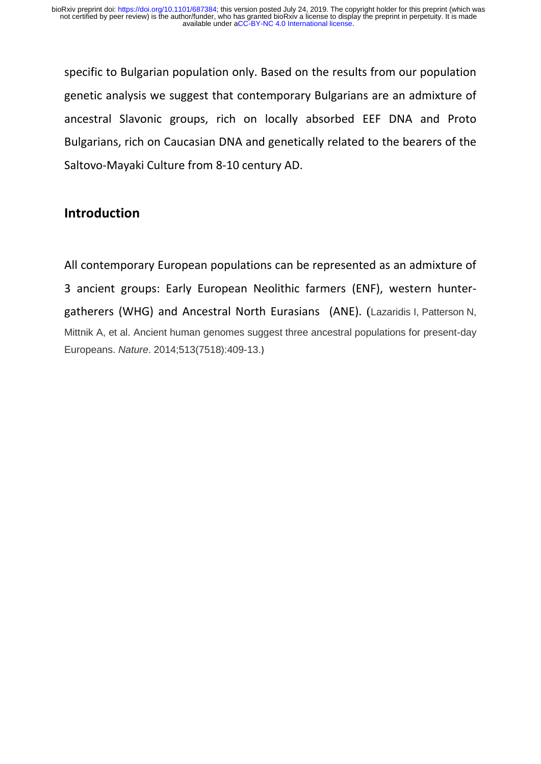specific to Bulgarian population only. Based on the results from our population genetic analysis we suggest that contemporary Bulgarians are an admixture of ancestral Slavonic groups, rich on locally absorbed EEF DNA and Proto Bulgarians, rich on Caucasian DNA and genetically related to the bearers of the Saltovo-Mayaki Culture from 8-10 century AD.

### **Introduction**

All contemporary European populations can be represented as an admixture of 3 ancient groups: Early European Neolithic farmers (ENF), western huntergatherers (WHG) and Ancestral North Eurasians (ANE). (Lazaridis I, Patterson N, Mittnik A, et al. Ancient human genomes suggest three ancestral populations for present-day Europeans. *Nature*. 2014;513(7518):409-13.)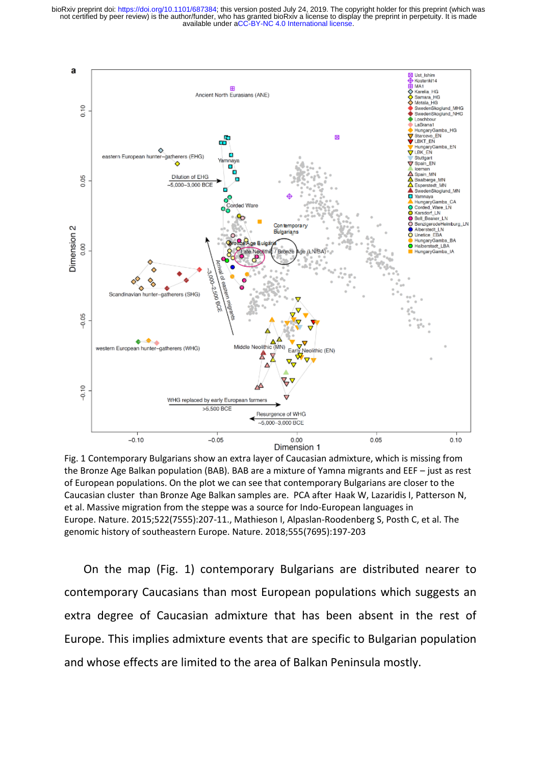available under [aCC-BY-NC 4.0 International license.](http://creativecommons.org/licenses/by-nc/4.0/) not certified by peer review) is the author/funder, who has granted bioRxiv a license to display the preprint in perpetuity. It is made bioRxiv preprint doi: [https://doi.org/10.1101/687384;](https://doi.org/10.1101/687384) this version posted July 24, 2019. The copyright holder for this preprint (which was



Fig. 1 Contemporary Bulgarians show an extra layer of Caucasian admixture, which is missing from the Bronze Age Balkan population (BAB). BAB are a mixture of Yamna migrants and EEF – just as rest of European populations. On the plot we can see that contemporary Bulgarians are closer to the Caucasian cluster than Bronze Age Balkan samples are. PCA after Haak W, Lazaridis I, Patterson N, et al. Massive migration from the steppe was a source for Indo-European languages in Europe. Nature. 2015;522(7555):207-11., Mathieson I, Alpaslan-Roodenberg S, Posth C, et al. The genomic history of southeastern Europe. Nature. 2018;555(7695):197-203

 On the map (Fig. 1) contemporary Bulgarians are distributed nearer to contemporary Caucasians than most European populations which suggests an extra degree of Caucasian admixture that has been absent in the rest of Europe. This implies admixture events that are specific to Bulgarian population and whose effects are limited to the area of Balkan Peninsula mostly.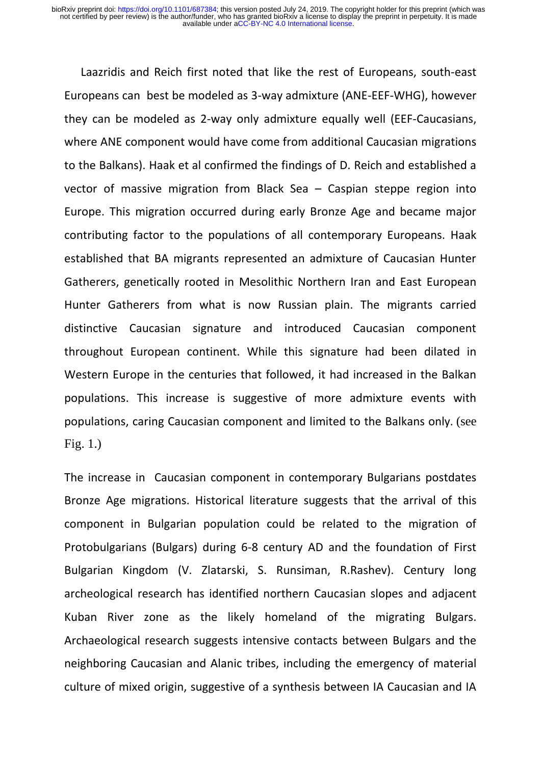Laazridis and Reich first noted that like the rest of Europeans, south-east Europeans can best be modeled as 3-way admixture (ANE-EEF-WHG), however they can be modeled as 2-way only admixture equally well (EEF-Caucasians, where ANE component would have come from additional Caucasian migrations to the Balkans). Haak et al confirmed the findings of D. Reich and established a vector of massive migration from Black Sea – Caspian steppe region into Europe. This migration occurred during early Bronze Age and became major contributing factor to the populations of all contemporary Europeans. Haak established that BA migrants represented an admixture of Caucasian Hunter Gatherers, genetically rooted in Mesolithic Northern Iran and East European Hunter Gatherers from what is now Russian plain. The migrants carried distinctive Caucasian signature and introduced Caucasian component throughout European continent. While this signature had been dilated in Western Europe in the centuries that followed, it had increased in the Balkan populations. This increase is suggestive of more admixture events with populations, caring Caucasian component and limited to the Balkans only. (see Fig. 1.)

The increase in Caucasian component in contemporary Bulgarians postdates Bronze Age migrations. Historical literature suggests that the arrival of this component in Bulgarian population could be related to the migration of Protobulgarians (Bulgars) during 6-8 century AD and the foundation of First Bulgarian Kingdom (V. Zlatarski, S. Runsiman, R.Rashev). Century long archeological research has identified northern Caucasian slopes and adjacent Kuban River zone as the likely homeland of the migrating Bulgars. Archaeological research suggests intensive contacts between Bulgars and the neighboring Caucasian and Alanic tribes, including the emergency of material culture of mixed origin, suggestive of a synthesis between IA Caucasian and IA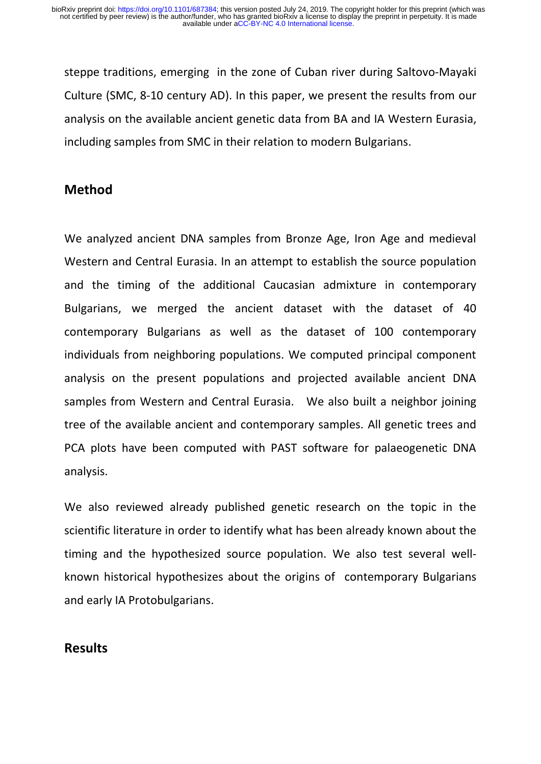steppe traditions, emerging in the zone of Cuban river during Saltovo-Mayaki Culture (SMC, 8-10 century AD). In this paper, we present the results from our analysis on the available ancient genetic data from BA and IA Western Eurasia, including samples from SMC in their relation to modern Bulgarians.

### **Method**

We analyzed ancient DNA samples from Bronze Age, Iron Age and medieval Western and Central Eurasia. In an attempt to establish the source population and the timing of the additional Caucasian admixture in contemporary Bulgarians, we merged the ancient dataset with the dataset of 40 contemporary Bulgarians as well as the dataset of 100 contemporary individuals from neighboring populations. We computed principal component analysis on the present populations and projected available ancient DNA samples from Western and Central Eurasia. We also built a neighbor joining tree of the available ancient and contemporary samples. All genetic trees and PCA plots have been computed with PAST software for palaeogenetic DNA analysis.

We also reviewed already published genetic research on the topic in the scientific literature in order to identify what has been already known about the timing and the hypothesized source population. We also test several wellknown historical hypothesizes about the origins of contemporary Bulgarians and early IA Protobulgarians.

### **Results**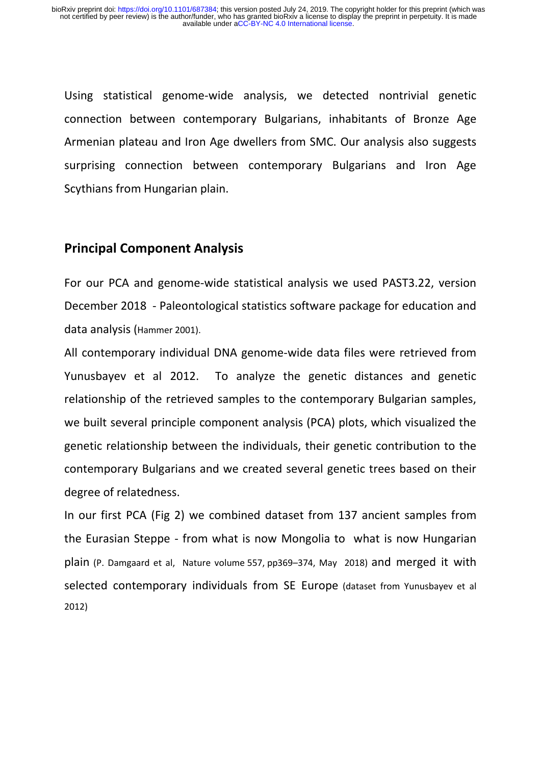Using statistical genome-wide analysis, we detected nontrivial genetic connection between contemporary Bulgarians, inhabitants of Bronze Age Armenian plateau and Iron Age dwellers from SMC. Our analysis also suggests surprising connection between contemporary Bulgarians and Iron Age Scythians from Hungarian plain.

### **Principal Component Analysis**

For our PCA and genome-wide statistical analysis we used PAST3.22, version December 2018 - Paleontological statistics software package for education and data analysis (Hammer 2001).

All contemporary individual DNA genome-wide data files were retrieved from Yunusbayev et al 2012. To analyze the genetic distances and genetic relationship of the retrieved samples to the contemporary Bulgarian samples, we built several principle component analysis (PCA) plots, which visualized the genetic relationship between the individuals, their genetic contribution to the contemporary Bulgarians and we created several genetic trees based on their degree of relatedness.

In our first PCA (Fig 2) we combined dataset from 137 ancient samples from the Eurasian Steppe - from what is now Mongolia to what is now Hungarian plain (P. Damgaard et al, Nature volume 557, pp369–374, May 2018) and merged it with selected contemporary individuals from SE Europe (dataset from Yunusbayev et al 2012)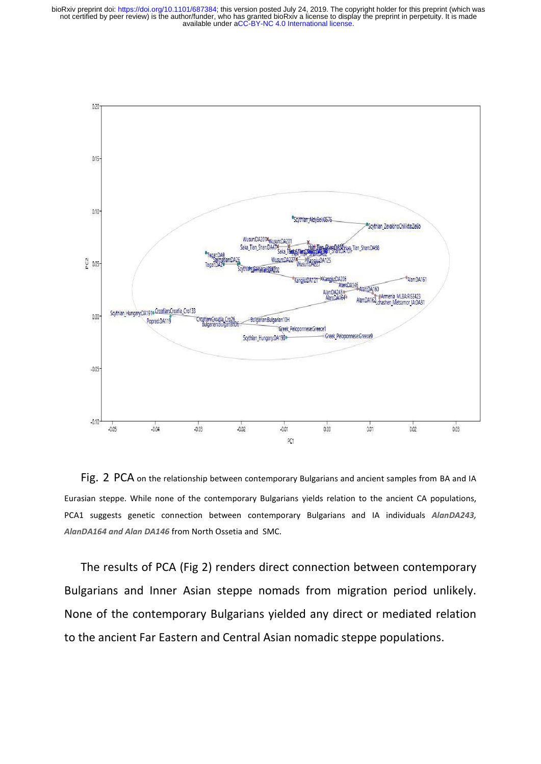available under [aCC-BY-NC 4.0 International license.](http://creativecommons.org/licenses/by-nc/4.0/) not certified by peer review) is the author/funder, who has granted bioRxiv a license to display the preprint in perpetuity. It is made bioRxiv preprint doi: [https://doi.org/10.1101/687384;](https://doi.org/10.1101/687384) this version posted July 24, 2019. The copyright holder for this preprint (which was



Fig. 2 PCA on the relationship between contemporary Bulgarians and ancient samples from BA and IA Eurasian steppe. While none of the contemporary Bulgarians yields relation to the ancient CA populations, PCA1 suggests genetic connection between contemporary Bulgarians and IA individuals *AlanDA243, AlanDA164 and Alan DA146* from North Ossetia and SMC.

The results of PCA (Fig 2) renders direct connection between contemporary Bulgarians and Inner Asian steppe nomads from migration period unlikely. None of the contemporary Bulgarians yielded any direct or mediated relation to the ancient Far Eastern and Central Asian nomadic steppe populations.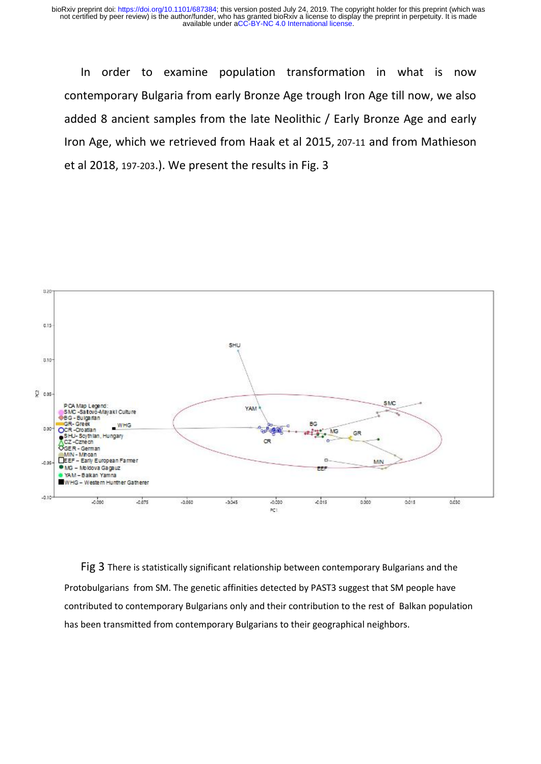In order to examine population transformation in what is now contemporary Bulgaria from early Bronze Age trough Iron Age till now, we also added 8 ancient samples from the late Neolithic / Early Bronze Age and early Iron Age, which we retrieved from Haak et al 2015, 207-11 and from Mathieson et al 2018, 197-203.). We present the results in Fig. 3



Fig 3 There is statistically significant relationship between contemporary Bulgarians and the Protobulgarians from SM. The genetic affinities detected by PAST3 suggest that SM people have contributed to contemporary Bulgarians only and their contribution to the rest of Balkan population has been transmitted from contemporary Bulgarians to their geographical neighbors.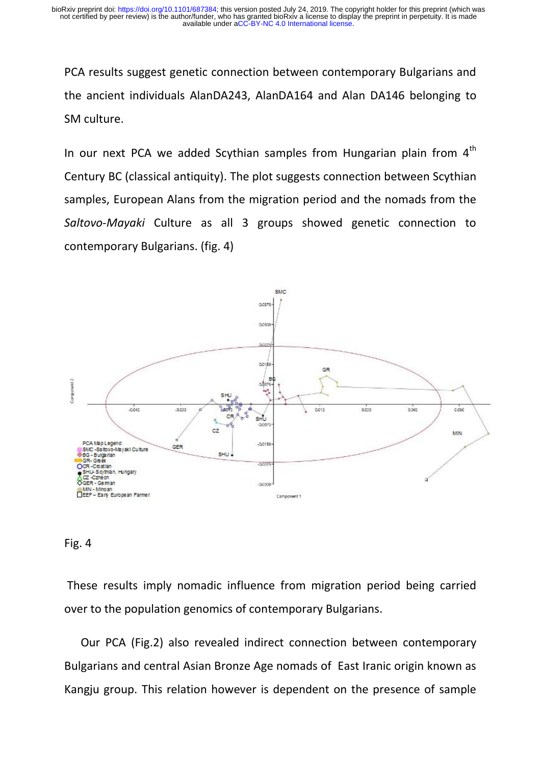PCA results suggest genetic connection between contemporary Bulgarians and the ancient individuals AlanDA243, AlanDA164 and Alan DA146 belonging to SM culture.

In our next PCA we added Scythian samples from Hungarian plain from  $4<sup>th</sup>$ Century BC (classical antiquity). The plot suggests connection between Scythian samples, European Alans from the migration period and the nomads from the *Saltovo*-*Mayaki* Culture as all 3 groups showed genetic connection to contemporary Bulgarians. (fig. 4)



#### Fig. 4

 These results imply nomadic influence from migration period being carried over to the population genomics of contemporary Bulgarians.

Our PCA (Fig.2) also revealed indirect connection between contemporary Bulgarians and central Asian Bronze Age nomads of East Iranic origin known as Kangju group. This relation however is dependent on the presence of sample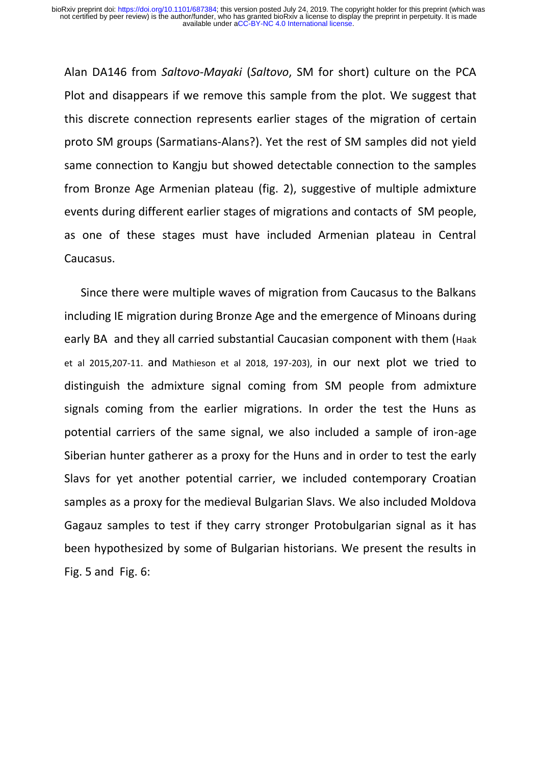Alan DA146 from *Saltovo*-*Mayaki* (*Saltovo*, SM for short) culture on the PCA Plot and disappears if we remove this sample from the plot. We suggest that this discrete connection represents earlier stages of the migration of certain proto SM groups (Sarmatians-Alans?). Yet the rest of SM samples did not yield same connection to Kangju but showed detectable connection to the samples from Bronze Age Armenian plateau (fig. 2), suggestive of multiple admixture events during different earlier stages of migrations and contacts of SM people, as one of these stages must have included Armenian plateau in Central Caucasus.

Since there were multiple waves of migration from Caucasus to the Balkans including IE migration during Bronze Age and the emergence of Minoans during early BA and they all carried substantial Caucasian component with them (Haak et al 2015,207-11. and Mathieson et al 2018, 197-203), in our next plot we tried to distinguish the admixture signal coming from SM people from admixture signals coming from the earlier migrations. In order the test the Huns as potential carriers of the same signal, we also included a sample of iron-age Siberian hunter gatherer as a proxy for the Huns and in order to test the early Slavs for yet another potential carrier, we included contemporary Croatian samples as a proxy for the medieval Bulgarian Slavs. We also included Moldova Gagauz samples to test if they carry stronger Protobulgarian signal as it has been hypothesized by some of Bulgarian historians. We present the results in Fig. 5 and Fig. 6: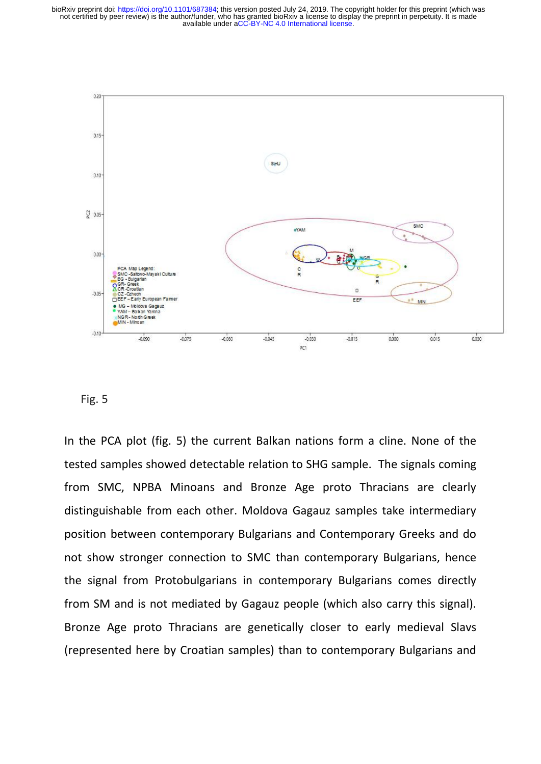available under [aCC-BY-NC 4.0 International license.](http://creativecommons.org/licenses/by-nc/4.0/) not certified by peer review) is the author/funder, who has granted bioRxiv a license to display the preprint in perpetuity. It is made bioRxiv preprint doi: [https://doi.org/10.1101/687384;](https://doi.org/10.1101/687384) this version posted July 24, 2019. The copyright holder for this preprint (which was



#### Fig. 5

In the PCA plot (fig. 5) the current Balkan nations form a cline. None of the tested samples showed detectable relation to SHG sample. The signals coming from SMC, NPBA Minoans and Bronze Age proto Thracians are clearly distinguishable from each other. Moldova Gagauz samples take intermediary position between contemporary Bulgarians and Contemporary Greeks and do not show stronger connection to SMC than contemporary Bulgarians, hence the signal from Protobulgarians in contemporary Bulgarians comes directly from SM and is not mediated by Gagauz people (which also carry this signal). Bronze Age proto Thracians are genetically closer to early medieval Slavs (represented here by Croatian samples) than to contemporary Bulgarians and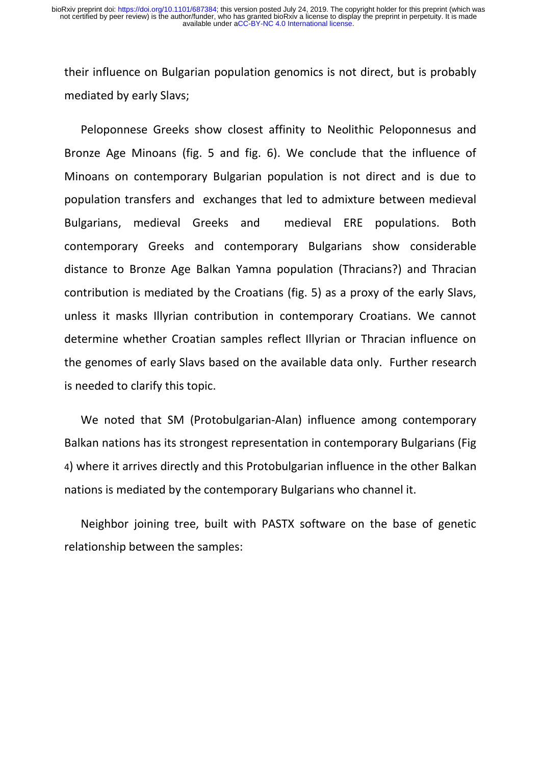their influence on Bulgarian population genomics is not direct, but is probably mediated by early Slavs;

Peloponnese Greeks show closest affinity to Neolithic Peloponnesus and Bronze Age Minoans (fig. 5 and fig. 6). We conclude that the influence of Minoans on contemporary Bulgarian population is not direct and is due to population transfers and exchanges that led to admixture between medieval Bulgarians, medieval Greeks and medieval ERE populations. Both contemporary Greeks and contemporary Bulgarians show considerable distance to Bronze Age Balkan Yamna population (Thracians?) and Thracian contribution is mediated by the Croatians (fig. 5) as a proxy of the early Slavs, unless it masks Illyrian contribution in contemporary Croatians. We cannot determine whether Croatian samples reflect Illyrian or Thracian influence on the genomes of early Slavs based on the available data only. Further research is needed to clarify this topic.

We noted that SM (Protobulgarian-Alan) influence among contemporary Balkan nations has its strongest representation in contemporary Bulgarians (Fig 4) where it arrives directly and this Protobulgarian influence in the other Balkan nations is mediated by the contemporary Bulgarians who channel it.

Neighbor joining tree, built with PASTX software on the base of genetic relationship between the samples: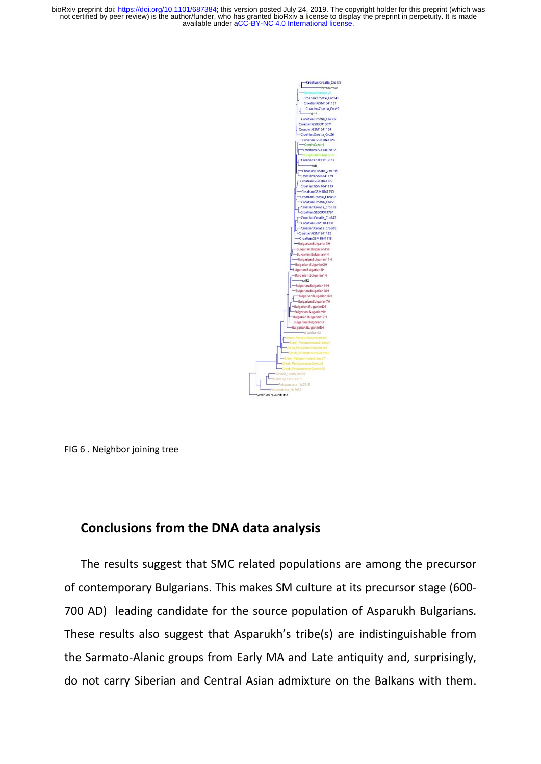available under [aCC-BY-NC 4.0 International license.](http://creativecommons.org/licenses/by-nc/4.0/) not certified by peer review) is the author/funder, who has granted bioRxiv a license to display the preprint in perpetuity. It is made bioRxiv preprint doi: [https://doi.org/10.1101/687384;](https://doi.org/10.1101/687384) this version posted July 24, 2019. The copyright holder for this preprint (which was



FIG 6 . Neighbor joining tree

#### **Conclusions from the DNA data analysis**

The results suggest that SMC related populations are among the precursor of contemporary Bulgarians. This makes SM culture at its precursor stage (600- 700 AD) leading candidate for the source population of Asparukh Bulgarians. These results also suggest that Asparukh's tribe(s) are indistinguishable from the Sarmato-Alanic groups from Early MA and Late antiquity and, surprisingly, do not carry Siberian and Central Asian admixture on the Balkans with them.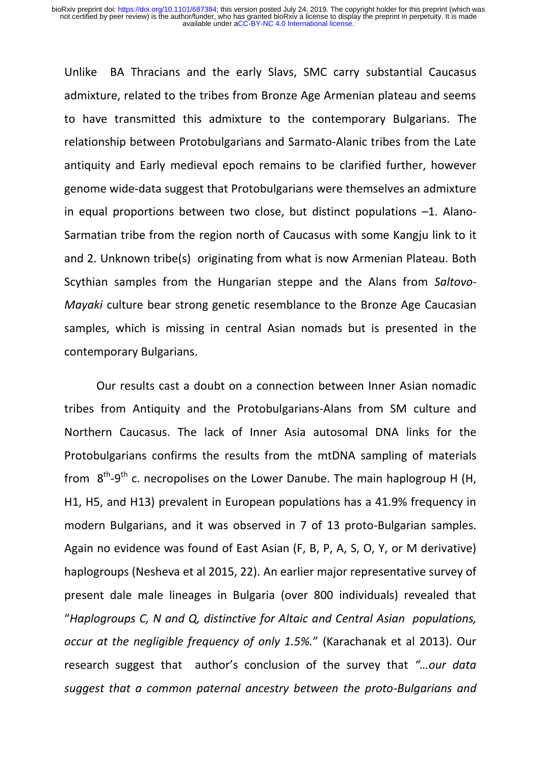Unlike BA Thracians and the early Slavs, SMC carry substantial Caucasus admixture, related to the tribes from Bronze Age Armenian plateau and seems to have transmitted this admixture to the contemporary Bulgarians. The relationship between Protobulgarians and Sarmato-Alanic tribes from the Late antiquity and Early medieval epoch remains to be clarified further, however genome wide-data suggest that Protobulgarians were themselves an admixture in equal proportions between two close, but distinct populations –1. Alano-Sarmatian tribe from the region north of Caucasus with some Kangju link to it and 2. Unknown tribe(s) originating from what is now Armenian Plateau. Both Scythian samples from the Hungarian steppe and the Alans from *Saltovo*-*Mayaki* culture bear strong genetic resemblance to the Bronze Age Caucasian samples, which is missing in central Asian nomads but is presented in the contemporary Bulgarians.

Our results cast a doubt on a connection between Inner Asian nomadic tribes from Antiquity and the Protobulgarians-Alans from SM culture and Northern Caucasus. The lack of Inner Asia autosomal DNA links for the Protobulgarians confirms the results from the mtDNA sampling of materials from  $8<sup>th</sup>-9<sup>th</sup>$  c. necropolises on the Lower Danube. The main haplogroup H (H, H1, H5, and H13) prevalent in European populations has a 41.9% frequency in modern Bulgarians, and it was observed in 7 of 13 proto-Bulgarian samples. Again no evidence was found of East Asian (F, B, P, A, S, O, Y, or M derivative) haplogroups (Nesheva et al 2015, 22). An earlier major representative survey of present dale male lineages in Bulgaria (over 800 individuals) revealed that "*Haplogroups C, N and Q, distinctive for Altaic and Central Asian populations, occur at the negligible frequency of only 1.5%.*" (Karachanak et al 2013). Our research suggest that author's conclusion of the survey that *"…our data suggest that a common paternal ancestry between the proto-Bulgarians and*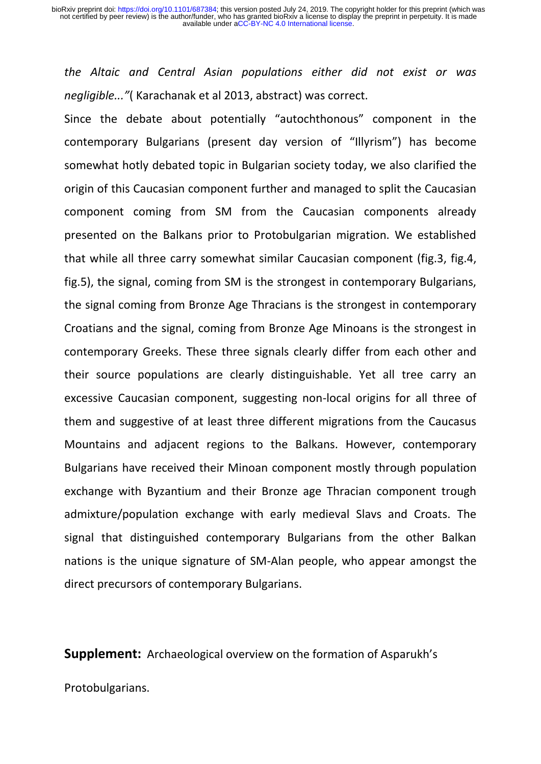*the Altaic and Central Asian populations either did not exist or was negligible..."*( Karachanak et al 2013, abstract) was correct.

Since the debate about potentially "autochthonous" component in the contemporary Bulgarians (present day version of "Illyrism") has become somewhat hotly debated topic in Bulgarian society today, we also clarified the origin of this Caucasian component further and managed to split the Caucasian component coming from SM from the Caucasian components already presented on the Balkans prior to Protobulgarian migration. We established that while all three carry somewhat similar Caucasian component (fig.3, fig.4, fig.5), the signal, coming from SM is the strongest in contemporary Bulgarians, the signal coming from Bronze Age Thracians is the strongest in contemporary Croatians and the signal, coming from Bronze Age Minoans is the strongest in contemporary Greeks. These three signals clearly differ from each other and their source populations are clearly distinguishable. Yet all tree carry an excessive Caucasian component, suggesting non-local origins for all three of them and suggestive of at least three different migrations from the Caucasus Mountains and adjacent regions to the Balkans. However, contemporary Bulgarians have received their Minoan component mostly through population exchange with Byzantium and their Bronze age Thracian component trough admixture/population exchange with early medieval Slavs and Croats. The signal that distinguished contemporary Bulgarians from the other Balkan nations is the unique signature of SM-Alan people, who appear amongst the direct precursors of contemporary Bulgarians.

**Supplement:** Archaeological overview on the formation of Asparukh's

Protobulgarians.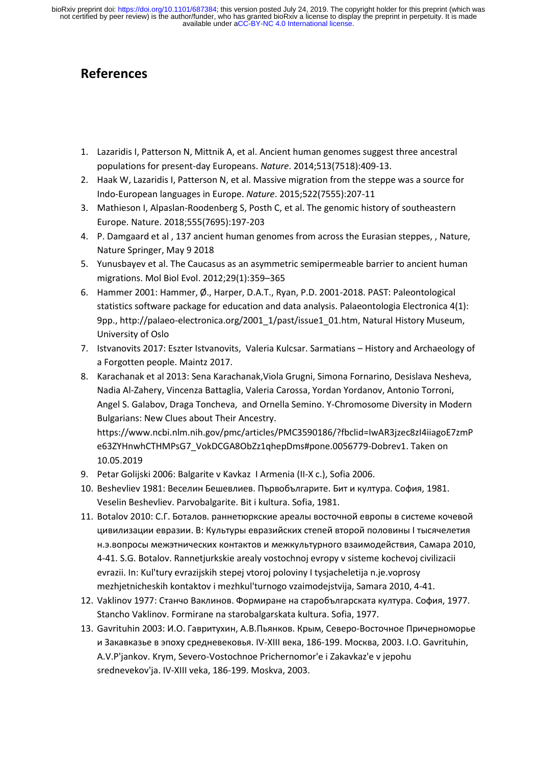## **References**

- 1. Lazaridis I, Patterson N, Mittnik A, et al. Ancient human genomes suggest three ancestral populations for present-day Europeans. *Nature*. 2014;513(7518):409-13.
- 2. Haak W, Lazaridis I, Patterson N, et al. Massive migration from the steppe was a source for Indo-European languages in Europe. *Nature*. 2015;522(7555):207-11
- 3. Mathieson I, Alpaslan-Roodenberg S, Posth C, et al. The genomic history of southeastern Europe. Nature. 2018;555(7695):197-203
- 4. P. Damgaard et al , 137 ancient human genomes from across the Eurasian steppes, , Nature, Nature Springer, May 9 2018
- 5. Yunusbayev et al. The Caucasus as an asymmetric semipermeable barrier to ancient human migrations. Mol Biol Evol. 2012;29(1):359–365
- 6. Hammer 2001: Hammer, Ø., Harper, D.A.T., Ryan, P.D. 2001-2018. PAST: Paleontological statistics software package for education and data analysis. Palaeontologia Electronica 4(1): 9pp., http://palaeo-electronica.org/2001\_1/past/issue1\_01.htm, Natural History Museum, University of Oslo
- 7. Istvanovits 2017: Eszter Istvanovits, Valeria Kulcsar. Sarmatians History and Archaeology of a Forgotten people. Maintz 2017.
- 8. Karachanak et al 2013: Sena Karachanak,Viola Grugni, Simona Fornarino, Desislava Nesheva, Nadia Al-Zahery, Vincenza Battaglia, Valeria Carossa, Yordan Yordanov, Antonio Torroni, Angel S. Galabov, Draga Toncheva, and Ornella Semino. Y-Chromosome Diversity in Modern Bulgarians: New Clues about Their Ancestry. [https://www.ncbi.nlm.nih.gov/pmc/articles/PMC3590186/?fbclid=IwAR3jzec8zI4iiagoE7zmP](https://www.ncbi.nlm.nih.gov/pmc/articles/PMC3590186/?fbclid=IwAR3jzec8zI4iiagoE7zmPe63ZYHnwhCTHMPsG7_VokDCGA8ObZz1qhepDms#pone.0056779-Dobrev1) [e63ZYHnwhCTHMPsG7\\_VokDCGA8ObZz1qhepDms#pone.0056779-Dobrev1.](https://www.ncbi.nlm.nih.gov/pmc/articles/PMC3590186/?fbclid=IwAR3jzec8zI4iiagoE7zmPe63ZYHnwhCTHMPsG7_VokDCGA8ObZz1qhepDms#pone.0056779-Dobrev1) Taken on 10.05.2019
- 9. Petar Golijski 2006: Balgarite v Kavkaz I Armenia (II-X c.), Sofia 2006.
- 10. Beshevliev 1981: Веселин Бешевлиев. Първобългарите. Бит и култура. София, 1981. Veselin Beshevliev. Parvobalgarite. Bit i kultura. Sofia, 1981.
- 11. Botalov 2010: С.Г. Боталов. раннетюркские ареалы восточной европы в системе кочевой цивилизации евразии. В: Культуры евразийских степей второй половины I тысячелетия н.э.вопросы межэтнических контактов и межкультурного взаимодействия, Самара 2010, 4-41. S.G. Botalov. Rannetjurkskie arealy vostochnoj evropy v sisteme kochevoj civilizacii evrazii. In: Kul'tury evrazijskih stepej vtoroj poloviny I tysjacheletija n.je.voprosy mezhjetnicheskih kontaktov i mezhkul'turnogo vzaimodejstvija, Samara 2010, 4-41.
- 12. Vaklinov 1977: Станчо Ваклинов. Формиране на старобългарската култура. София, 1977. Stancho Vaklinov. Formirane na starobalgarskata kultura. Sofia, 1977.
- 13. Gavrituhin 2003: И.О. Гавритухин, А.В.Пьянков. Крым, Северо-Восточное Причерноморье и Закавказье в эпоху средневековья. IV-XIII века, 186-199. Москва, 2003. I.O. Gavrituhin, A.V.P'jankov. Krym, Severo-Vostochnoe Prichernomor'e i Zakavkaz'e v jepohu srednevekov'ja. IV-XIII veka, 186-199. Moskva, 2003.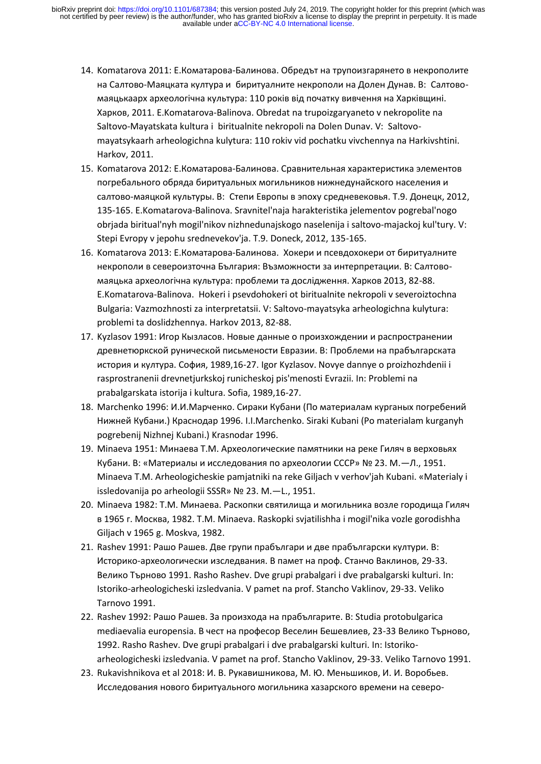- 14. Komatarova 2011: E.Коматарова-Балинова. Обредът на трупоизгарянето в некрополите на Салтово-Маяцката култура и биритуалните некрополи на Долен Дунав. В: Салтовомаяцькаарх археологічна культура: 110 років від початку вивчення на Харківщині. Харков, 2011. E.Komatarova-Balinova. Obredat na trupoizgaryaneto v nekropolite na Saltovo-Mayatskata kultura i biritualnite nekropoli na Dolen Dunav. V: Saltovomayatsykaarh arheologіchna kulytura: 110 rokіv vіd pochatku vivchennya na Harkіvshtinі. Harkov, 2011.
- 15. Komatarova 2012: Е.Коматарова-Балинова. Сравнительная характеристика элементов погребального обряда биритуальных могильников нижнедунайского населения и салтово-маяцкой культуры. В: Степи Европы в эпоху средневековья. Т.9. Донецк, 2012, 135-165. E.Komatarova-Balinova. Sravnitel'naja harakteristika jelementov pogrebal'nogo obrjada biritual'nyh mogil'nikov nizhnedunajskogo naselenija i saltovo-majackoj kul'tury. V: Stepi Evropy v jepohu srednevekov'ja. T.9. Doneck, 2012, 135-165.
- 16. Komatarova 2013: Е.Коматарова-Балинова. Хокери и псевдохокери от биритуалните некрополи в североизточна България: Възможности за интерпретации. В: Салтовомаяцька археологічна культура: проблеми та дослідження. Харков 2013, 82-88. E.Komatarova-Balinova. Hokeri i psevdohokeri ot biritualnite nekropoli v severoiztochna Bulgaria: Vazmozhnosti za interpretatsii. V: Saltovo-mayatsyka arheologіchna kulytura: problemi ta doslіdzhennya. Harkov 2013, 82-88.
- 17. Kyzlasov 1991: Игор Кызласов. Новые данные о произхождении и распространении древнетюркской рунической письмености Евразии. В: Проблеми на прабългарската история и култура. София, 1989,16-27. Igor Kyzlasov. Novye dannye o proizhozhdenii i rasprostranenii drevnetjurkskoj runicheskoj pis'menosti Evrazii. In: Problemi na prabalgarskata istorija i kultura. Sofia, 1989,16-27.
- 18. Marchenko 1996: И.И.Марченко. Сираки Кубани (По материалам курганых погребений Нижней Кубани.) Краснодар 1996. I.I.Marchenko. Siraki Kubani (Po materialam kurganyh pogrebenij Nizhnej Kubani.) Krasnodar 1996.
- 19. Minaeva 1951: Минаева Т.М. Археологические памятники на реке Гиляч в верховьях Кубани. В: «Материалы и исследования по археологии СССР» № 23. М.—Л., 1951. Minaeva T.M. Arheologicheskie pamjatniki na reke Giljach v verhov'jah Kubani. «Materialy i issledovanija po arheologii SSSR» № 23. M.—L., 1951.
- 20. Minaeva 1982: Т.М. Минаева. Раскопки святилища и могильника возле городища Гиляч в 1965 г. Москва, 1982. T.M. Minaeva. Raskopki svjatilishha i mogil'nika vozle gorodishha Giljach v 1965 g. Moskva, 1982.
- 21. Rashev 1991: Рашо Рашев. Две групи прабългари и две прабългарски култури. В: Историко-археологически изследвания. В памет на проф. Станчо Ваклинов, 29-33. Велико Търново 1991. Rasho Rashev. Dve grupi prabalgari i dve prabalgarski kulturi. In: Istoriko-arheologicheski izsledvania. V pamet na prof. Stancho Vaklinov, 29-33. Veliko Tarnovo 1991.
- 22. Rashev 1992: Рашо Рашев. За произхода на прабългарите. В: Studia protobulgarica mediaevalia europensia. В чест на професор Веселин Бешевлиев, 23-33 Велико Търново, 1992. Rasho Rashev. Dve grupi prabalgari i dve prabalgarski kulturi. In: Istorikoarheologicheski izsledvania. V pamet na prof. Stancho Vaklinov, 29-33. Veliko Tarnovo 1991.
- 23. Rukavishnikova et al 2018: И. В. Рукавишникова, М. Ю. Меньшиков, И. И. Воробьев. Исследования нового биритуального могильника хазарского времени на северо-